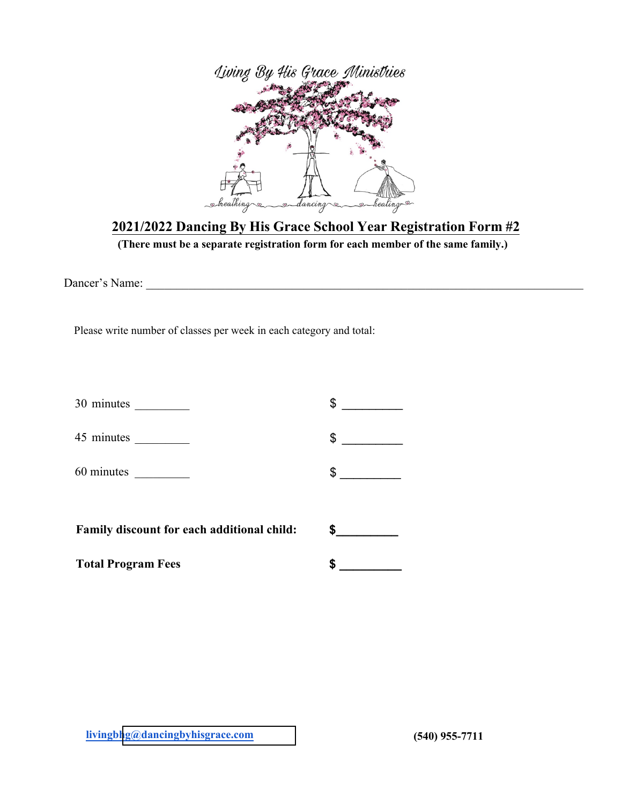

## **2021/2022 Dancing By His Grace School Year Registration Form #2**

**(There must be a separate registration form for each member of the same family.)**

Dancer's Name: \_\_\_\_\_\_\_\_\_\_\_\_\_\_\_\_\_\_\_\_\_\_\_\_\_\_\_\_\_\_\_\_\_\_\_\_\_\_\_\_\_\_\_\_\_\_\_\_\_\_\_\_\_\_\_\_\_\_\_\_\_\_\_\_\_\_\_\_\_\_\_\_

Please write number of classes per week in each category and total:

| <b>Total Program Fees</b>                  | S             |
|--------------------------------------------|---------------|
| Family discount for each additional child: |               |
|                                            | $\frac{1}{2}$ |
| 45 minutes                                 | $\frac{1}{2}$ |
| $30 \text{ minutes}$                       |               |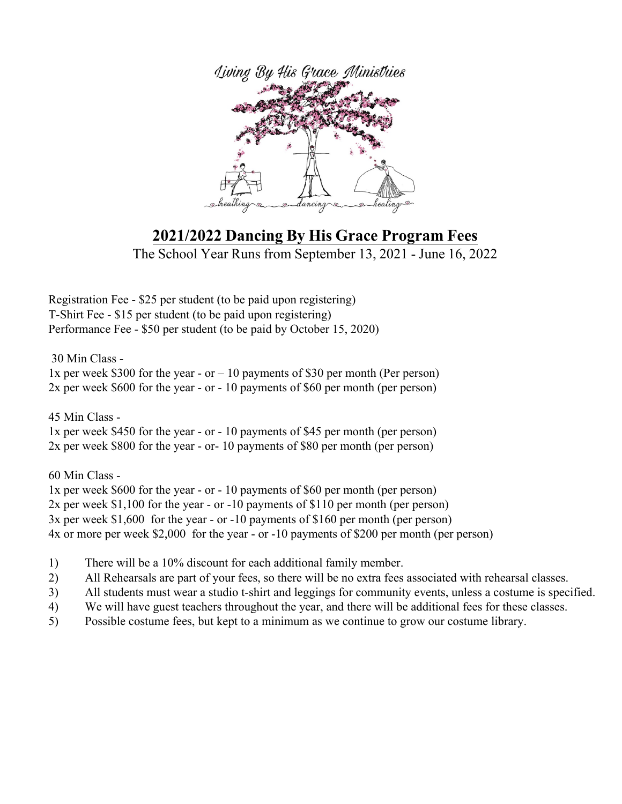

## 2021/2022 Dancing By His Grace Program Fees

The School Year Runs from September 13, 2021 - June 16, 2022

Tgikuvtcvkqp"Hgg"/"&47"rgt"uvwfgpv"\*vq"dg"rckf"wrqp"tgikuvgtkpi+ V/Ujktv"Hgg"/"&37"rgt"uvwfgpv"\*vq"dg"rckf"wrqp"tgikuvgtkpi+"" Rgthqt o cpeg"Hgg"/"&72" rgt"uvwfgpv"\*vq"dg" rckf"d{"Qevqdgt"37."4242+"

52" Okp" Encuu"/""

3z"rgt"yggm"&522"hqt"vjg"{gct"/"qt"ó"32"rc{ogpvu"qh"&52"rgt"oqpvj"\*Rgt"rgtuqp+"" 4z"rgt"yggm"&822"hqt"vjg"{gct"/"qt"/"32"rc{ogpvu"qh"&82"rgt"oqpvj"\*rgt"rgtuqp+"

 $67"Okp"$ Encuu"/" 3z"rgt"yggm"&672"hqt"vjg"{gct"/"qt"/"32"rc{ogpvu"qh"&67"rgt"oqpvj"\*rgt"rgtuqp+" 4z"rgt"yggm"&:22"hqt"vjg"{gct"/"qt/"32"rc{ogpvu"qh"&:2"rgt"oqpvj"\*rgt"rgtuqp+"

82" Okp" Encuu"/" 3z"rgt"yggm"&822"hqt"vjg"{gct"/"qt"/"32"rc{ogpvu"qh"&82"rgt"oqpvj"\*rgt"rgtuqp+" 4z"rgt"yggm"&3.322"hqt"vjg"{gct"/"qt"/32"rc{ogpvu"qh"&332"rgt"oqpvj"\*rgt"rgtuqp+" 5z"rgt"yggm"&3.822""hqt"vjg"{gct"/"qt"/32"rc{ogpvu"qh"&382"rgt"oqpvj"\*rgt"rgtuqp+""" 6z"qt" o qtg" rgt" y ggm" & 4.222" "hqt" v j g" { gct"/"qt"/32" rc { o gpvu"qh" & 422" rgt" o qpv j "\* rgt" rgtuqp+"

- 3+ Vjgtg" y knn"dg"c"32 '"f kueqwpv"hqt" gcej "cffkvkqpcn" hc o kn{" o g o dgt0"
- 4+ Cnn"Tgjgctucnu"ctg"rctv"qh"{qwt"hggu."uq"vjgtg"yknn"dg"pq"gzvtc"hggu"cuuqekcvgf"ykvj"tgjgctucn"encuugu0"
- 5+ Cnn"uvwfgpvu" o wuv" y gct"c"uvwfkq"v/ujktv"cpf"ngiikpiu"hqt"eqoowpkv{"gxgpvu."wpnguu"c"equvwog"ku"urgekhkgf0"
- 6+ Yg"yknn"jcxg"iwguv"vgcejgtu"vjtqwijqwv"vjg"{gct."cpf"vjgtg"yknn"dg"cffkvkqpcn"hggu"hqt"vjgug"encuugu0"
- 7+ Rquukdng"equvw o g"hggu."dwv"mgrv"vq"c" o kpk o w o "cu" y g"eqpvkpwg"vq" i tq y "qwt"equvw o g"nkdtct {0"